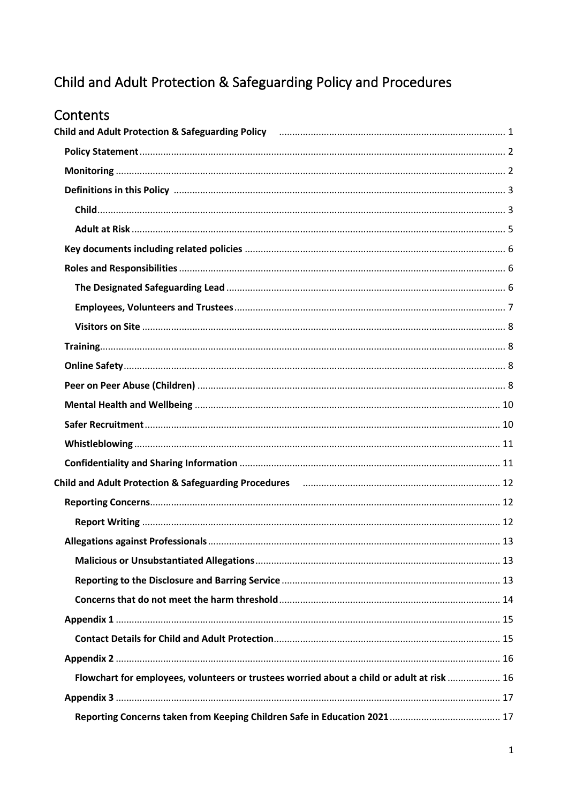# <span id="page-0-0"></span>Child and Adult Protection & Safeguarding Policy and Procedures

# Contents

| Child and Adult Protection & Safeguarding Policy manufacture manufacture manufacture and Adult Protection & Safeguarding Policy |  |
|---------------------------------------------------------------------------------------------------------------------------------|--|
|                                                                                                                                 |  |
|                                                                                                                                 |  |
|                                                                                                                                 |  |
|                                                                                                                                 |  |
|                                                                                                                                 |  |
|                                                                                                                                 |  |
|                                                                                                                                 |  |
|                                                                                                                                 |  |
|                                                                                                                                 |  |
|                                                                                                                                 |  |
|                                                                                                                                 |  |
|                                                                                                                                 |  |
|                                                                                                                                 |  |
|                                                                                                                                 |  |
|                                                                                                                                 |  |
|                                                                                                                                 |  |
|                                                                                                                                 |  |
|                                                                                                                                 |  |
|                                                                                                                                 |  |
|                                                                                                                                 |  |
|                                                                                                                                 |  |
|                                                                                                                                 |  |
|                                                                                                                                 |  |
|                                                                                                                                 |  |
|                                                                                                                                 |  |
|                                                                                                                                 |  |
|                                                                                                                                 |  |
| Flowchart for employees, volunteers or trustees worried about a child or adult at risk  16                                      |  |
|                                                                                                                                 |  |
|                                                                                                                                 |  |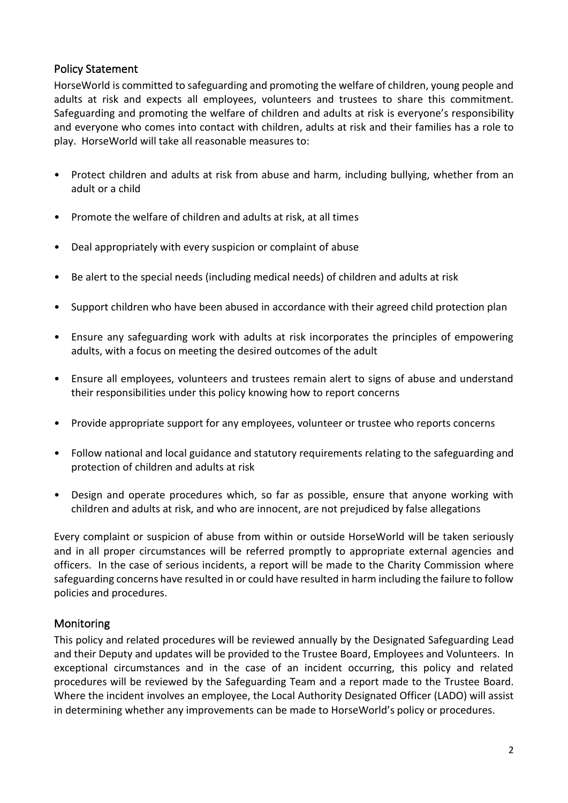### <span id="page-1-0"></span>Policy Statement

HorseWorld is committed to safeguarding and promoting the welfare of children, young people and adults at risk and expects all employees, volunteers and trustees to share this commitment. Safeguarding and promoting the welfare of children and adults at risk is everyone's responsibility and everyone who comes into contact with children, adults at risk and their families has a role to play. HorseWorld will take all reasonable measures to:

- Protect children and adults at risk from abuse and harm, including bullying, whether from an adult or a child
- Promote the welfare of children and adults at risk, at all times
- Deal appropriately with every suspicion or complaint of abuse
- Be alert to the special needs (including medical needs) of children and adults at risk
- Support children who have been abused in accordance with their agreed child protection plan
- Ensure any safeguarding work with adults at risk incorporates the principles of empowering adults, with a focus on meeting the desired outcomes of the adult
- Ensure all employees, volunteers and trustees remain alert to signs of abuse and understand their responsibilities under this policy knowing how to report concerns
- Provide appropriate support for any employees, volunteer or trustee who reports concerns
- Follow national and local guidance and statutory requirements relating to the safeguarding and protection of children and adults at risk
- Design and operate procedures which, so far as possible, ensure that anyone working with children and adults at risk, and who are innocent, are not prejudiced by false allegations

Every complaint or suspicion of abuse from within or outside HorseWorld will be taken seriously and in all proper circumstances will be referred promptly to appropriate external agencies and officers. In the case of serious incidents, a report will be made to the Charity Commission where safeguarding concerns have resulted in or could have resulted in harm including the failure to follow policies and procedures.

## <span id="page-1-1"></span>Monitoring

This policy and related procedures will be reviewed annually by the Designated Safeguarding Lead and their Deputy and updates will be provided to the Trustee Board, Employees and Volunteers. In exceptional circumstances and in the case of an incident occurring, this policy and related procedures will be reviewed by the Safeguarding Team and a report made to the Trustee Board. Where the incident involves an employee, the Local Authority Designated Officer (LADO) will assist in determining whether any improvements can be made to HorseWorld's policy or procedures.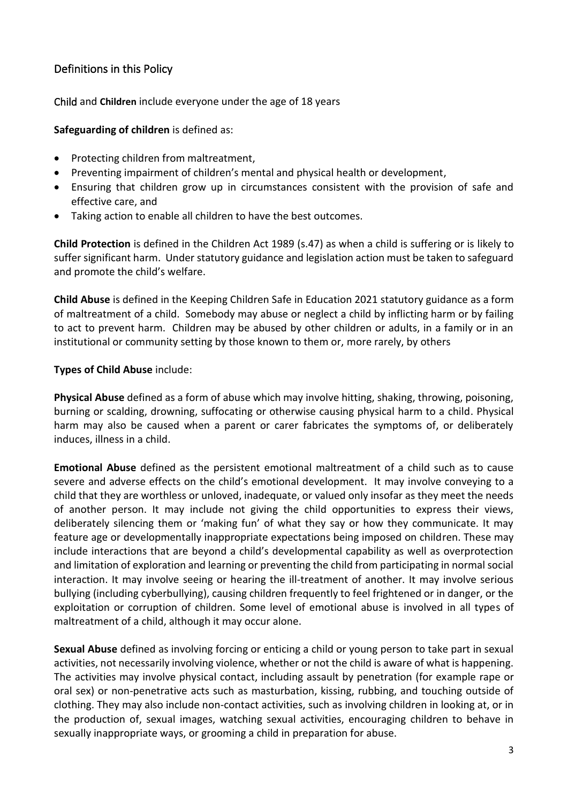## <span id="page-2-0"></span>Definitions in this Policy

<span id="page-2-1"></span>Child and **Children** include everyone under the age of 18 years

**Safeguarding of children** is defined as:

- Protecting children from maltreatment,
- Preventing impairment of children's mental and physical health or development,
- Ensuring that children grow up in circumstances consistent with the provision of safe and effective care, and
- Taking action to enable all children to have the best outcomes.

**Child Protection** is defined in the Children Act 1989 (s.47) as when a child is suffering or is likely to suffer significant harm. Under statutory guidance and legislation action must be taken to safeguard and promote the child's welfare.

**Child Abuse** is defined in the Keeping Children Safe in Education 2021 statutory guidance as a form of maltreatment of a child. Somebody may abuse or neglect a child by inflicting harm or by failing to act to prevent harm. Children may be abused by other children or adults, in a family or in an institutional or community setting by those known to them or, more rarely, by others

## **Types of Child Abuse** include:

**Physical Abuse** defined as a form of abuse which may involve hitting, shaking, throwing, poisoning, burning or scalding, drowning, suffocating or otherwise causing physical harm to a child. Physical harm may also be caused when a parent or carer fabricates the symptoms of, or deliberately induces, illness in a child.

**Emotional Abuse** defined as the persistent emotional maltreatment of a child such as to cause severe and adverse effects on the child's emotional development. It may involve conveying to a child that they are worthless or unloved, inadequate, or valued only insofar as they meet the needs of another person. It may include not giving the child opportunities to express their views, deliberately silencing them or 'making fun' of what they say or how they communicate. It may feature age or developmentally inappropriate expectations being imposed on children. These may include interactions that are beyond a child's developmental capability as well as overprotection and limitation of exploration and learning or preventing the child from participating in normal social interaction. It may involve seeing or hearing the ill-treatment of another. It may involve serious bullying (including cyberbullying), causing children frequently to feel frightened or in danger, or the exploitation or corruption of children. Some level of emotional abuse is involved in all types of maltreatment of a child, although it may occur alone.

**Sexual Abuse** defined as involving forcing or enticing a child or young person to take part in sexual activities, not necessarily involving violence, whether or not the child is aware of what is happening. The activities may involve physical contact, including assault by penetration (for example rape or oral sex) or non-penetrative acts such as masturbation, kissing, rubbing, and touching outside of clothing. They may also include non-contact activities, such as involving children in looking at, or in the production of, sexual images, watching sexual activities, encouraging children to behave in sexually inappropriate ways, or grooming a child in preparation for abuse.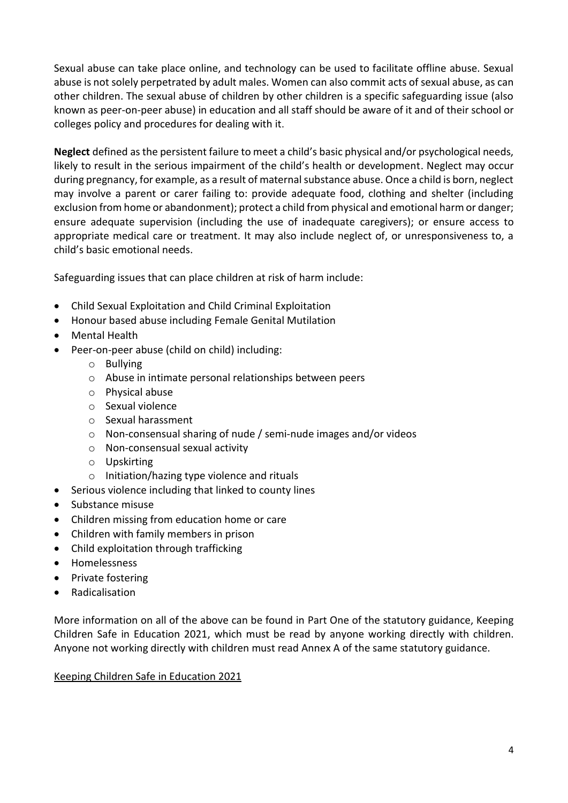Sexual abuse can take place online, and technology can be used to facilitate offline abuse. Sexual abuse is not solely perpetrated by adult males. Women can also commit acts of sexual abuse, as can other children. The sexual abuse of children by other children is a specific safeguarding issue (also known as peer-on-peer abuse) in education and all staff should be aware of it and of their school or colleges policy and procedures for dealing with it.

**Neglect** defined as the persistent failure to meet a child's basic physical and/or psychological needs, likely to result in the serious impairment of the child's health or development. Neglect may occur during pregnancy, for example, as a result of maternal substance abuse. Once a child is born, neglect may involve a parent or carer failing to: provide adequate food, clothing and shelter (including exclusion from home or abandonment); protect a child from physical and emotional harm or danger; ensure adequate supervision (including the use of inadequate caregivers); or ensure access to appropriate medical care or treatment. It may also include neglect of, or unresponsiveness to, a child's basic emotional needs.

Safeguarding issues that can place children at risk of harm include:

- Child Sexual Exploitation and Child Criminal Exploitation
- Honour based abuse including Female Genital Mutilation
- Mental Health
- Peer-on-peer abuse (child on child) including:
	- o Bullying
	- o Abuse in intimate personal relationships between peers
	- o Physical abuse
	- o Sexual violence
	- o Sexual harassment
	- o Non-consensual sharing of nude / semi-nude images and/or videos
	- o Non-consensual sexual activity
	- o Upskirting
	- o Initiation/hazing type violence and rituals
- Serious violence including that linked to county lines
- Substance misuse
- Children missing from education home or care
- Children with family members in prison
- Child exploitation through trafficking
- Homelessness
- Private fostering
- Radicalisation

More information on all of the above can be found in Part One of the statutory guidance, Keeping Children Safe in Education 2021, which must be read by anyone working directly with children. Anyone not working directly with children must read Annex A of the same statutory guidance.

#### [Keeping Children Safe in Education 2021](https://assets.publishing.service.gov.uk/government/uploads/system/uploads/attachment_data/file/1007260/Keeping_children_safe_in_education_2021.pdf)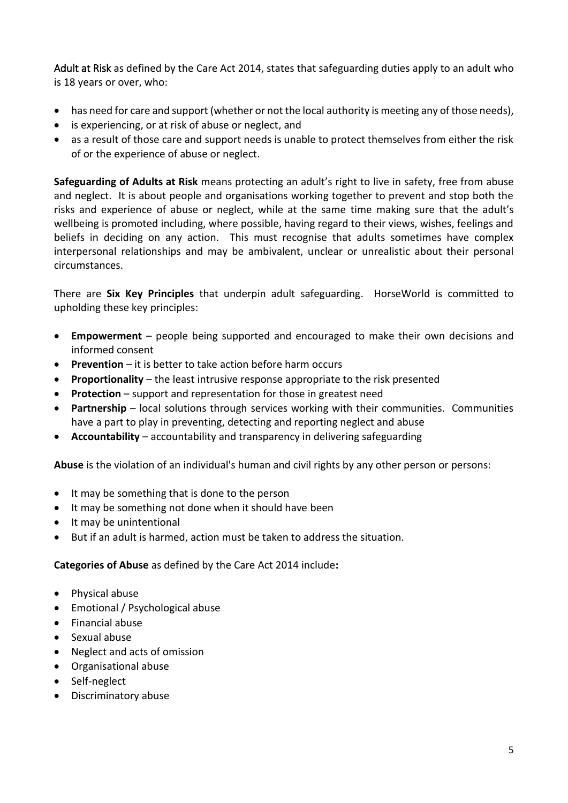<span id="page-4-0"></span>Adult at Risk as defined by the Care Act 2014, states that safeguarding duties apply to an adult who is 18 years or over, who:

- has need for care and support (whether or not the local authority is meeting any of those needs),
- is experiencing, or at risk of abuse or neglect, and
- as a result of those care and support needs is unable to protect themselves from either the risk of or the experience of abuse or neglect.

**Safeguarding of Adults at Risk** means protecting an adult's right to live in safety, free from abuse and neglect. It is about people and organisations working together to prevent and stop both the risks and experience of abuse or neglect, while at the same time making sure that the adult's wellbeing is promoted including, where possible, having regard to their views, wishes, feelings and beliefs in deciding on any action. This must recognise that adults sometimes have complex interpersonal relationships and may be ambivalent, unclear or unrealistic about their personal circumstances.

There are **Six Key Principles** that underpin adult safeguarding. HorseWorld is committed to upholding these key principles:

- **Empowerment** people being supported and encouraged to make their own decisions and informed consent
- **Prevention** it is better to take action before harm occurs
- **Proportionality** the least intrusive response appropriate to the risk presented
- **Protection** support and representation for those in greatest need
- **Partnership** local solutions through services working with their communities. Communities have a part to play in preventing, detecting and reporting neglect and abuse
- **Accountability** accountability and transparency in delivering safeguarding

**Abuse** is the violation of an individual's human and civil rights by any other person or persons:

- It may be something that is done to the person
- It may be something not done when it should have been
- It may be unintentional
- But if an adult is harmed, action must be taken to address the situation.

**Categories of Abuse** as defined by the Care Act 2014 include**:**

- Physical abuse
- Emotional / Psychological abuse
- Financial abuse
- Sexual abuse
- Neglect and acts of omission
- Organisational abuse
- Self-neglect
- Discriminatory abuse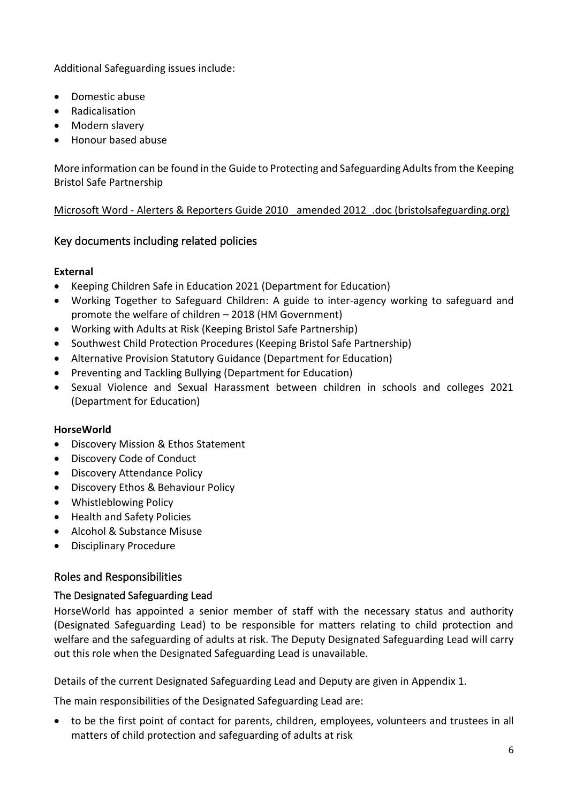Additional Safeguarding issues include:

- Domestic abuse
- Radicalisation
- Modern slavery
- Honour based abuse

More information can be found in the Guide to Protecting and Safeguarding Adults from the Keeping Bristol Safe Partnership

#### Microsoft Word - Alerters & Reporters Guide 2010 amended 2012 .doc (bristolsafeguarding.org)

## <span id="page-5-0"></span>Key documents including related policies

#### **External**

- Keeping Children Safe in Education 2021 (Department for Education)
- Working Together to Safeguard Children: A guide to inter-agency working to safeguard and promote the welfare of children – 2018 (HM Government)
- Working with Adults at Risk (Keeping Bristol Safe Partnership)
- Southwest Child Protection Procedures (Keeping Bristol Safe Partnership)
- Alternative Provision Statutory Guidance (Department for Education)
- Preventing and Tackling Bullying (Department for Education)
- Sexual Violence and Sexual Harassment between children in schools and colleges 2021 (Department for Education)

#### **HorseWorld**

- Discovery Mission & Ethos Statement
- Discovery Code of Conduct
- Discovery Attendance Policy
- Discovery Ethos & Behaviour Policy
- Whistleblowing Policy
- Health and Safety Policies
- Alcohol & Substance Misuse
- Disciplinary Procedure

## <span id="page-5-1"></span>Roles and Responsibilities

#### <span id="page-5-2"></span>The Designated Safeguarding Lead

HorseWorld has appointed a senior member of staff with the necessary status and authority (Designated Safeguarding Lead) to be responsible for matters relating to child protection and welfare and the safeguarding of adults at risk. The Deputy Designated Safeguarding Lead will carry out this role when the Designated Safeguarding Lead is unavailable.

Details of the current Designated Safeguarding Lead and Deputy are given in Appendix 1.

The main responsibilities of the Designated Safeguarding Lead are:

• to be the first point of contact for parents, children, employees, volunteers and trustees in all matters of child protection and safeguarding of adults at risk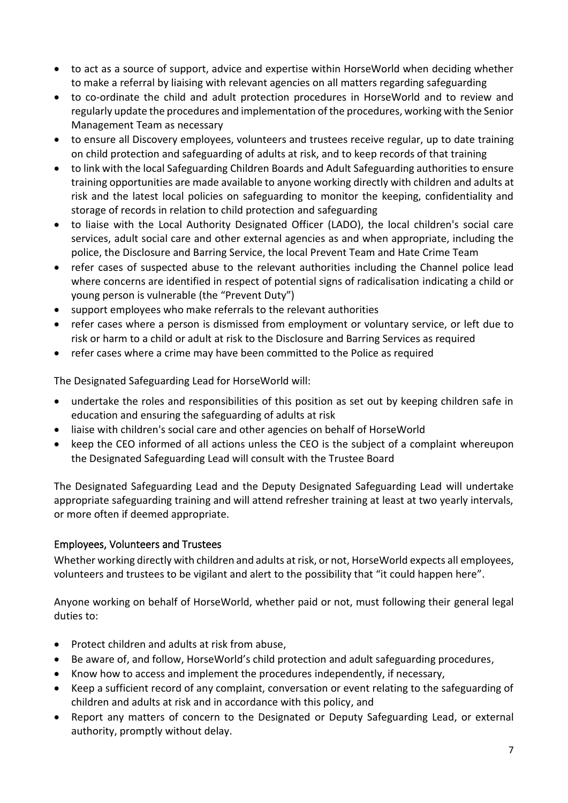- to act as a source of support, advice and expertise within HorseWorld when deciding whether to make a referral by liaising with relevant agencies on all matters regarding safeguarding
- to co-ordinate the child and adult protection procedures in HorseWorld and to review and regularly update the procedures and implementation of the procedures, working with the Senior Management Team as necessary
- to ensure all Discovery employees, volunteers and trustees receive regular, up to date training on child protection and safeguarding of adults at risk, and to keep records of that training
- to link with the local Safeguarding Children Boards and Adult Safeguarding authorities to ensure training opportunities are made available to anyone working directly with children and adults at risk and the latest local policies on safeguarding to monitor the keeping, confidentiality and storage of records in relation to child protection and safeguarding
- to liaise with the Local Authority Designated Officer (LADO), the local children's social care services, adult social care and other external agencies as and when appropriate, including the police, the Disclosure and Barring Service, the local Prevent Team and Hate Crime Team
- refer cases of suspected abuse to the relevant authorities including the Channel police lead where concerns are identified in respect of potential signs of radicalisation indicating a child or young person is vulnerable (the "Prevent Duty")
- support employees who make referrals to the relevant authorities
- refer cases where a person is dismissed from employment or voluntary service, or left due to risk or harm to a child or adult at risk to the Disclosure and Barring Services as required
- refer cases where a crime may have been committed to the Police as required

The Designated Safeguarding Lead for HorseWorld will:

- undertake the roles and responsibilities of this position as set out by keeping children safe in education and ensuring the safeguarding of adults at risk
- liaise with children's social care and other agencies on behalf of HorseWorld
- keep the CEO informed of all actions unless the CEO is the subject of a complaint whereupon the Designated Safeguarding Lead will consult with the Trustee Board

The Designated Safeguarding Lead and the Deputy Designated Safeguarding Lead will undertake appropriate safeguarding training and will attend refresher training at least at two yearly intervals, or more often if deemed appropriate.

#### <span id="page-6-0"></span>Employees, Volunteers and Trustees

Whether working directly with children and adults at risk, or not, HorseWorld expects all employees, volunteers and trustees to be vigilant and alert to the possibility that "it could happen here".

Anyone working on behalf of HorseWorld, whether paid or not, must following their general legal duties to:

- Protect children and adults at risk from abuse,
- Be aware of, and follow, HorseWorld's child protection and adult safeguarding procedures,
- Know how to access and implement the procedures independently, if necessary,
- Keep a sufficient record of any complaint, conversation or event relating to the safeguarding of children and adults at risk and in accordance with this policy, and
- Report any matters of concern to the Designated or Deputy Safeguarding Lead, or external authority, promptly without delay.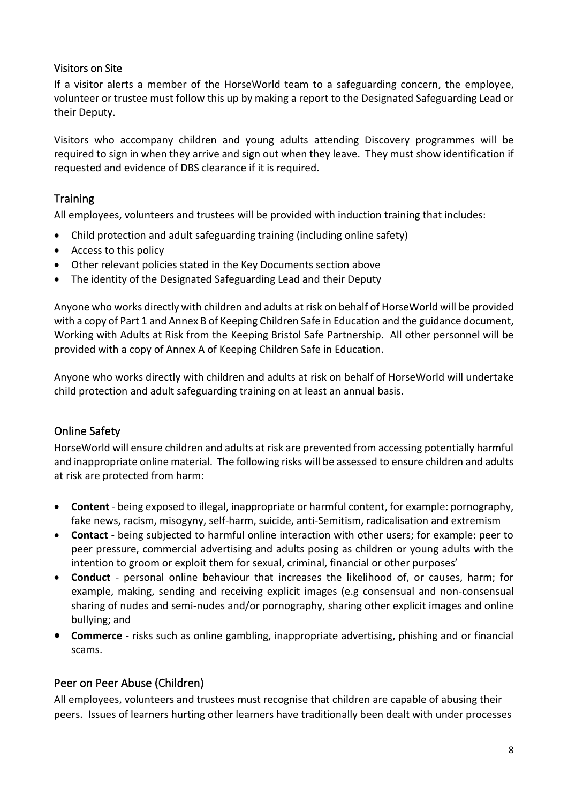#### <span id="page-7-0"></span>Visitors on Site

If a visitor alerts a member of the HorseWorld team to a safeguarding concern, the employee, volunteer or trustee must follow this up by making a report to the Designated Safeguarding Lead or their Deputy.

Visitors who accompany children and young adults attending Discovery programmes will be required to sign in when they arrive and sign out when they leave. They must show identification if requested and evidence of DBS clearance if it is required.

## <span id="page-7-1"></span>**Training**

All employees, volunteers and trustees will be provided with induction training that includes:

- Child protection and adult safeguarding training (including online safety)
- Access to this policy
- Other relevant policies stated in the Key Documents section above
- The identity of the Designated Safeguarding Lead and their Deputy

Anyone who works directly with children and adults at risk on behalf of HorseWorld will be provided with a copy of Part 1 and Annex B of Keeping Children Safe in Education and the guidance document, Working with Adults at Risk from the Keeping Bristol Safe Partnership. All other personnel will be provided with a copy of Annex A of Keeping Children Safe in Education.

Anyone who works directly with children and adults at risk on behalf of HorseWorld will undertake child protection and adult safeguarding training on at least an annual basis.

## <span id="page-7-2"></span>Online Safety

HorseWorld will ensure children and adults at risk are prevented from accessing potentially harmful and inappropriate online material. The following risks will be assessed to ensure children and adults at risk are protected from harm:

- **Content** being exposed to illegal, inappropriate or harmful content, for example: pornography, fake news, racism, misogyny, self-harm, suicide, anti-Semitism, radicalisation and extremism
- **Contact** being subjected to harmful online interaction with other users; for example: peer to peer pressure, commercial advertising and adults posing as children or young adults with the intention to groom or exploit them for sexual, criminal, financial or other purposes'
- **Conduct** personal online behaviour that increases the likelihood of, or causes, harm; for example, making, sending and receiving explicit images (e.g consensual and non-consensual sharing of nudes and semi-nudes and/or pornography, sharing other explicit images and online bullying; and
- **Commerce** risks such as online gambling, inappropriate advertising, phishing and or financial scams.

#### <span id="page-7-3"></span>Peer on Peer Abuse (Children)

All employees, volunteers and trustees must recognise that children are capable of abusing their peers. Issues of learners hurting other learners have traditionally been dealt with under processes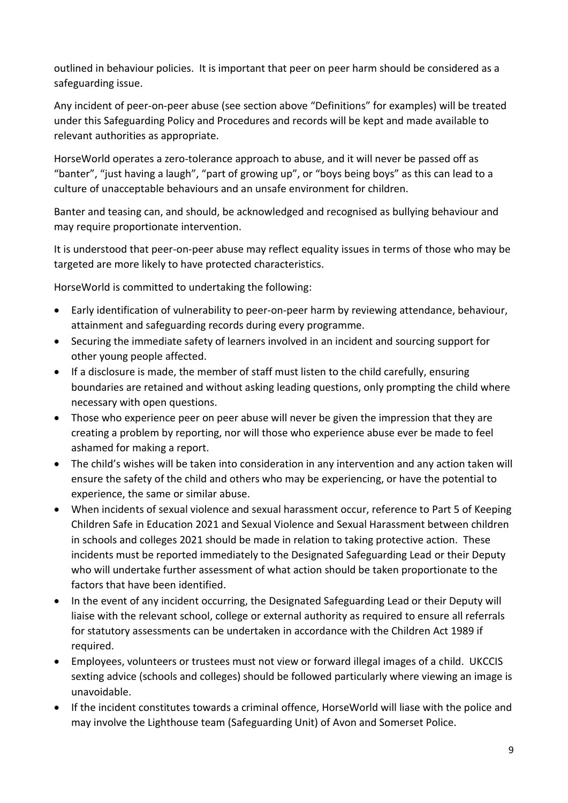outlined in behaviour policies. It is important that peer on peer harm should be considered as a safeguarding issue.

Any incident of peer-on-peer abuse (see section above "Definitions" for examples) will be treated under this Safeguarding Policy and Procedures and records will be kept and made available to relevant authorities as appropriate.

HorseWorld operates a zero-tolerance approach to abuse, and it will never be passed off as "banter", "just having a laugh", "part of growing up", or "boys being boys" as this can lead to a culture of unacceptable behaviours and an unsafe environment for children.

Banter and teasing can, and should, be acknowledged and recognised as bullying behaviour and may require proportionate intervention.

It is understood that peer-on-peer abuse may reflect equality issues in terms of those who may be targeted are more likely to have protected characteristics.

HorseWorld is committed to undertaking the following:

- Early identification of vulnerability to peer-on-peer harm by reviewing attendance, behaviour, attainment and safeguarding records during every programme.
- Securing the immediate safety of learners involved in an incident and sourcing support for other young people affected.
- If a disclosure is made, the member of staff must listen to the child carefully, ensuring boundaries are retained and without asking leading questions, only prompting the child where necessary with open questions.
- Those who experience peer on peer abuse will never be given the impression that they are creating a problem by reporting, nor will those who experience abuse ever be made to feel ashamed for making a report.
- The child's wishes will be taken into consideration in any intervention and any action taken will ensure the safety of the child and others who may be experiencing, or have the potential to experience, the same or similar abuse.
- When incidents of sexual violence and sexual harassment occur, reference to Part 5 of Keeping Children Safe in Education 2021 and Sexual Violence and Sexual Harassment between children in schools and colleges 2021 should be made in relation to taking protective action. These incidents must be reported immediately to the Designated Safeguarding Lead or their Deputy who will undertake further assessment of what action should be taken proportionate to the factors that have been identified.
- In the event of any incident occurring, the Designated Safeguarding Lead or their Deputy will liaise with the relevant school, college or external authority as required to ensure all referrals for statutory assessments can be undertaken in accordance with the Children Act 1989 if required.
- Employees, volunteers or trustees must not view or forward illegal images of a child. UKCCIS sexting advice (schools and colleges) should be followed particularly where viewing an image is unavoidable.
- If the incident constitutes towards a criminal offence, HorseWorld will liase with the police and may involve the Lighthouse team (Safeguarding Unit) of Avon and Somerset Police.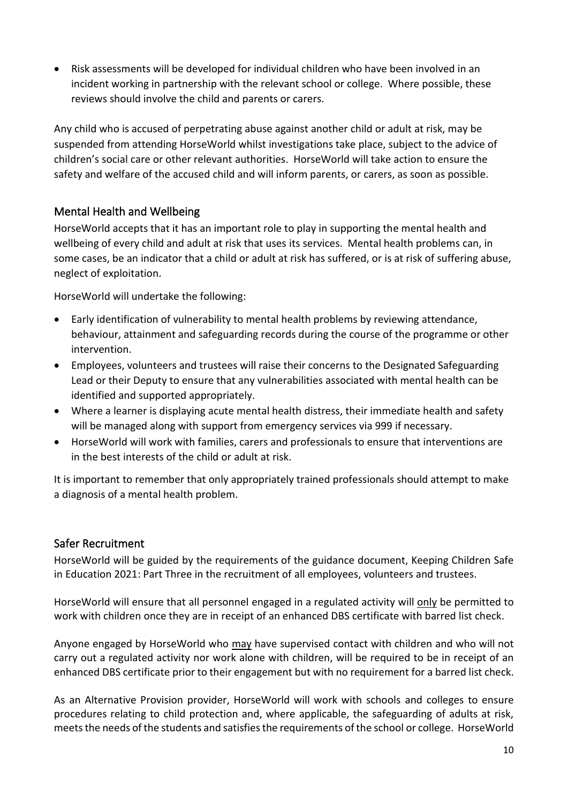• Risk assessments will be developed for individual children who have been involved in an incident working in partnership with the relevant school or college. Where possible, these reviews should involve the child and parents or carers.

Any child who is accused of perpetrating abuse against another child or adult at risk, may be suspended from attending HorseWorld whilst investigations take place, subject to the advice of children's social care or other relevant authorities. HorseWorld will take action to ensure the safety and welfare of the accused child and will inform parents, or carers, as soon as possible.

## <span id="page-9-0"></span>Mental Health and Wellbeing

HorseWorld accepts that it has an important role to play in supporting the mental health and wellbeing of every child and adult at risk that uses its services. Mental health problems can, in some cases, be an indicator that a child or adult at risk has suffered, or is at risk of suffering abuse, neglect of exploitation.

HorseWorld will undertake the following:

- Early identification of vulnerability to mental health problems by reviewing attendance, behaviour, attainment and safeguarding records during the course of the programme or other intervention.
- Employees, volunteers and trustees will raise their concerns to the Designated Safeguarding Lead or their Deputy to ensure that any vulnerabilities associated with mental health can be identified and supported appropriately.
- Where a learner is displaying acute mental health distress, their immediate health and safety will be managed along with support from emergency services via 999 if necessary.
- HorseWorld will work with families, carers and professionals to ensure that interventions are in the best interests of the child or adult at risk.

It is important to remember that only appropriately trained professionals should attempt to make a diagnosis of a mental health problem.

## <span id="page-9-1"></span>Safer Recruitment

HorseWorld will be guided by the requirements of the guidance document, Keeping Children Safe in Education 2021: Part Three in the recruitment of all employees, volunteers and trustees.

HorseWorld will ensure that all personnel engaged in a regulated activity will only be permitted to work with children once they are in receipt of an enhanced DBS certificate with barred list check.

Anyone engaged by HorseWorld who may have supervised contact with children and who will not carry out a regulated activity nor work alone with children, will be required to be in receipt of an enhanced DBS certificate prior to their engagement but with no requirement for a barred list check.

As an Alternative Provision provider, HorseWorld will work with schools and colleges to ensure procedures relating to child protection and, where applicable, the safeguarding of adults at risk, meets the needs of the students and satisfies the requirements of the school or college. HorseWorld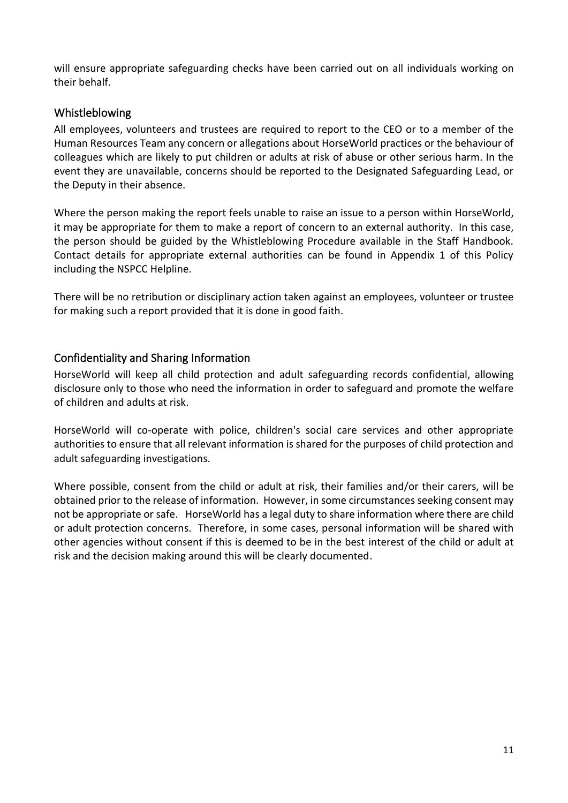will ensure appropriate safeguarding checks have been carried out on all individuals working on their behalf.

### <span id="page-10-0"></span>Whistleblowing

All employees, volunteers and trustees are required to report to the CEO or to a member of the Human Resources Team any concern or allegations about HorseWorld practices or the behaviour of colleagues which are likely to put children or adults at risk of abuse or other serious harm. In the event they are unavailable, concerns should be reported to the Designated Safeguarding Lead, or the Deputy in their absence.

Where the person making the report feels unable to raise an issue to a person within HorseWorld, it may be appropriate for them to make a report of concern to an external authority. In this case, the person should be guided by the Whistleblowing Procedure available in the Staff Handbook. Contact details for appropriate external authorities can be found in Appendix 1 of this Policy including the NSPCC Helpline.

There will be no retribution or disciplinary action taken against an employees, volunteer or trustee for making such a report provided that it is done in good faith.

#### <span id="page-10-1"></span>Confidentiality and Sharing Information

HorseWorld will keep all child protection and adult safeguarding records confidential, allowing disclosure only to those who need the information in order to safeguard and promote the welfare of children and adults at risk.

HorseWorld will co-operate with police, children's social care services and other appropriate authorities to ensure that all relevant information is shared for the purposes of child protection and adult safeguarding investigations.

Where possible, consent from the child or adult at risk, their families and/or their carers, will be obtained prior to the release of information. However, in some circumstances seeking consent may not be appropriate or safe. HorseWorld has a legal duty to share information where there are child or adult protection concerns. Therefore, in some cases, personal information will be shared with other agencies without consent if this is deemed to be in the best interest of the child or adult at risk and the decision making around this will be clearly documented.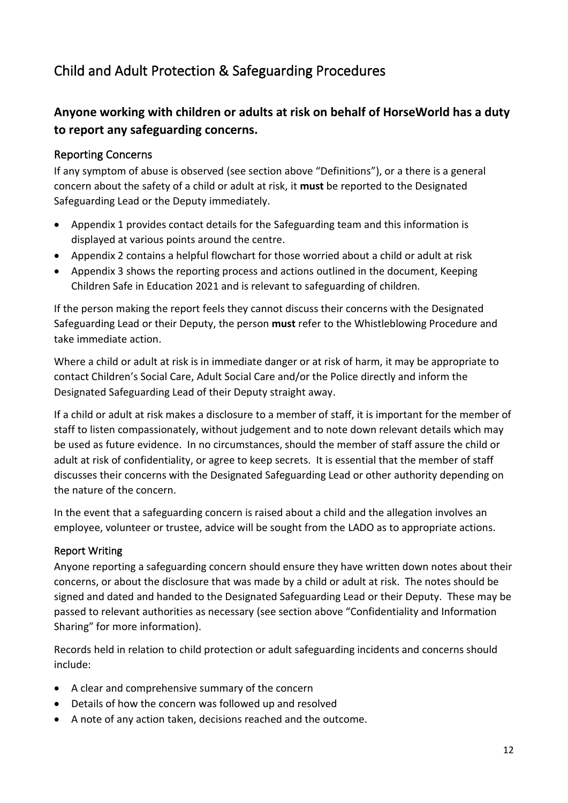# <span id="page-11-0"></span>Child and Adult Protection & Safeguarding Procedures

## **Anyone working with children or adults at risk on behalf of HorseWorld has a duty to report any safeguarding concerns.**

## <span id="page-11-1"></span>Reporting Concerns

If any symptom of abuse is observed (see section above "Definitions"), or a there is a general concern about the safety of a child or adult at risk, it **must** be reported to the Designated Safeguarding Lead or the Deputy immediately.

- Appendix 1 provides contact details for the Safeguarding team and this information is displayed at various points around the centre.
- Appendix 2 contains a helpful flowchart for those worried about a child or adult at risk
- Appendix 3 shows the reporting process and actions outlined in the document, Keeping Children Safe in Education 2021 and is relevant to safeguarding of children.

If the person making the report feels they cannot discuss their concerns with the Designated Safeguarding Lead or their Deputy, the person **must** refer to the Whistleblowing Procedure and take immediate action.

Where a child or adult at risk is in immediate danger or at risk of harm, it may be appropriate to contact Children's Social Care, Adult Social Care and/or the Police directly and inform the Designated Safeguarding Lead of their Deputy straight away.

If a child or adult at risk makes a disclosure to a member of staff, it is important for the member of staff to listen compassionately, without judgement and to note down relevant details which may be used as future evidence. In no circumstances, should the member of staff assure the child or adult at risk of confidentiality, or agree to keep secrets. It is essential that the member of staff discusses their concerns with the Designated Safeguarding Lead or other authority depending on the nature of the concern.

In the event that a safeguarding concern is raised about a child and the allegation involves an employee, volunteer or trustee, advice will be sought from the LADO as to appropriate actions.

#### <span id="page-11-2"></span>Report Writing

Anyone reporting a safeguarding concern should ensure they have written down notes about their concerns, or about the disclosure that was made by a child or adult at risk. The notes should be signed and dated and handed to the Designated Safeguarding Lead or their Deputy. These may be passed to relevant authorities as necessary (see section above "Confidentiality and Information Sharing" for more information).

Records held in relation to child protection or adult safeguarding incidents and concerns should include:

- A clear and comprehensive summary of the concern
- Details of how the concern was followed up and resolved
- A note of any action taken, decisions reached and the outcome.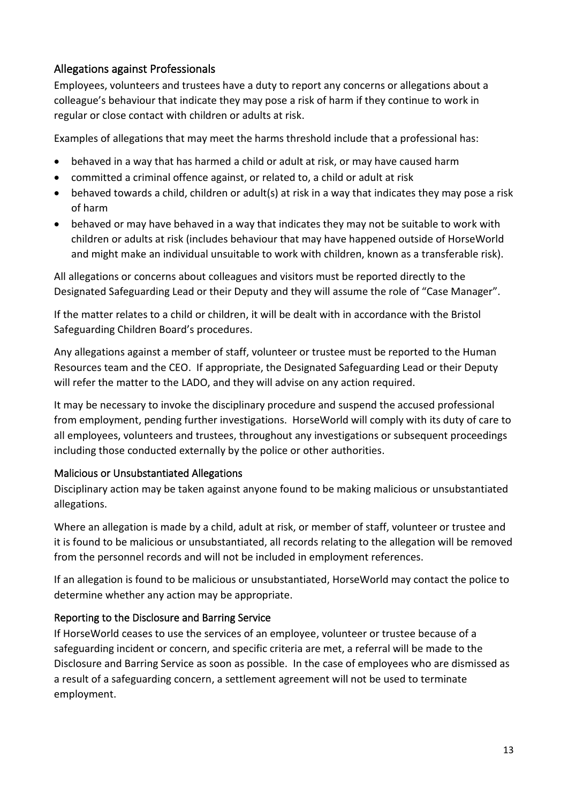## <span id="page-12-0"></span>Allegations against Professionals

Employees, volunteers and trustees have a duty to report any concerns or allegations about a colleague's behaviour that indicate they may pose a risk of harm if they continue to work in regular or close contact with children or adults at risk.

Examples of allegations that may meet the harms threshold include that a professional has:

- behaved in a way that has harmed a child or adult at risk, or may have caused harm
- committed a criminal offence against, or related to, a child or adult at risk
- behaved towards a child, children or adult(s) at risk in a way that indicates they may pose a risk of harm
- behaved or may have behaved in a way that indicates they may not be suitable to work with children or adults at risk (includes behaviour that may have happened outside of HorseWorld and might make an individual unsuitable to work with children, known as a transferable risk).

All allegations or concerns about colleagues and visitors must be reported directly to the Designated Safeguarding Lead or their Deputy and they will assume the role of "Case Manager".

If the matter relates to a child or children, it will be dealt with in accordance with the Bristol Safeguarding Children Board's procedures.

Any allegations against a member of staff, volunteer or trustee must be reported to the Human Resources team and the CEO. If appropriate, the Designated Safeguarding Lead or their Deputy will refer the matter to the LADO, and they will advise on any action required.

It may be necessary to invoke the disciplinary procedure and suspend the accused professional from employment, pending further investigations. HorseWorld will comply with its duty of care to all employees, volunteers and trustees, throughout any investigations or subsequent proceedings including those conducted externally by the police or other authorities.

## <span id="page-12-1"></span>Malicious or Unsubstantiated Allegations

Disciplinary action may be taken against anyone found to be making malicious or unsubstantiated allegations.

Where an allegation is made by a child, adult at risk, or member of staff, volunteer or trustee and it is found to be malicious or unsubstantiated, all records relating to the allegation will be removed from the personnel records and will not be included in employment references.

If an allegation is found to be malicious or unsubstantiated, HorseWorld may contact the police to determine whether any action may be appropriate.

## <span id="page-12-2"></span>Reporting to the Disclosure and Barring Service

If HorseWorld ceases to use the services of an employee, volunteer or trustee because of a safeguarding incident or concern, and specific criteria are met, a referral will be made to the Disclosure and Barring Service as soon as possible. In the case of employees who are dismissed as a result of a safeguarding concern, a settlement agreement will not be used to terminate employment.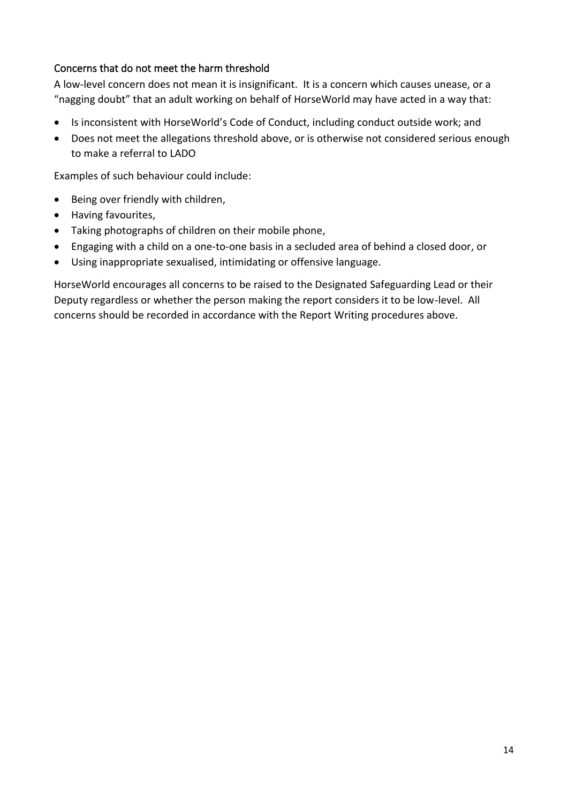#### <span id="page-13-0"></span>Concerns that do not meet the harm threshold

A low-level concern does not mean it is insignificant. It is a concern which causes unease, or a "nagging doubt" that an adult working on behalf of HorseWorld may have acted in a way that:

- Is inconsistent with HorseWorld's Code of Conduct, including conduct outside work; and
- Does not meet the allegations threshold above, or is otherwise not considered serious enough to make a referral to LADO

Examples of such behaviour could include:

- Being over friendly with children,
- Having favourites,
- Taking photographs of children on their mobile phone,
- Engaging with a child on a one-to-one basis in a secluded area of behind a closed door, or
- Using inappropriate sexualised, intimidating or offensive language.

HorseWorld encourages all concerns to be raised to the Designated Safeguarding Lead or their Deputy regardless or whether the person making the report considers it to be low-level. All concerns should be recorded in accordance with the Report Writing procedures above.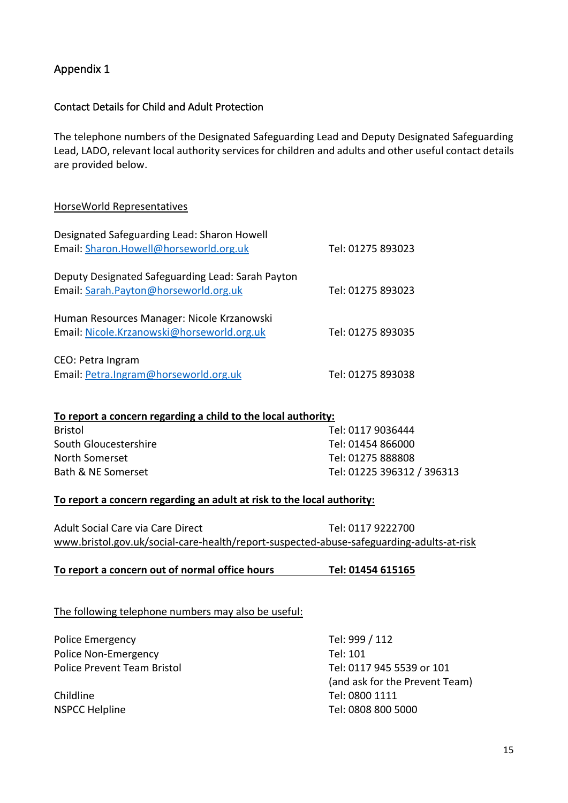## <span id="page-14-0"></span>Appendix 1

#### <span id="page-14-1"></span>Contact Details for Child and Adult Protection

The telephone numbers of the Designated Safeguarding Lead and Deputy Designated Safeguarding Lead, LADO, relevant local authority services for children and adults and other useful contact details are provided below.

#### HorseWorld Representatives

| Designated Safeguarding Lead: Sharon Howell<br>Email: Sharon.Howell@horseworld.org.uk      | Tel: 01275 893023 |
|--------------------------------------------------------------------------------------------|-------------------|
| Deputy Designated Safeguarding Lead: Sarah Payton<br>Email: Sarah.Payton@horseworld.org.uk | Tel: 01275 893023 |
| Human Resources Manager: Nicole Krzanowski<br>Email: Nicole.Krzanowski@horseworld.org.uk   | Tel: 01275 893035 |
| CEO: Petra Ingram<br>Email: Petra.Ingram@horseworld.org.uk                                 | Tel: 01275 893038 |

| To report a concern regarding a child to the local authority: |                            |  |
|---------------------------------------------------------------|----------------------------|--|
| Bristol                                                       | Tel: 0117 9036444          |  |
| South Gloucestershire                                         | Tel: 01454 866000          |  |
| <b>North Somerset</b>                                         | Tel: 01275 888808          |  |
| Bath & NE Somerset                                            | Tel: 01225 396312 / 396313 |  |

#### **To report a concern regarding an adult at risk to the local authority:**

Adult Social Care via Care Direct Tel: 0117 9222700 www.bristol.gov.uk/social-care-health/report-suspected-abuse-safeguarding-adults-at-risk

**To report a concern out of normal office hours Tel: 01454 615165**

#### The following telephone numbers may also be useful:

Police Emergency Tel: 999 / 112 Police Non-Emergency Tel: 101 Police Prevent Team Bristol Tel: 0117 945 5539 or 101

Childline Tel: 0800 1111

(and ask for the Prevent Team) NSPCC Helpline Tel: 0808 800 5000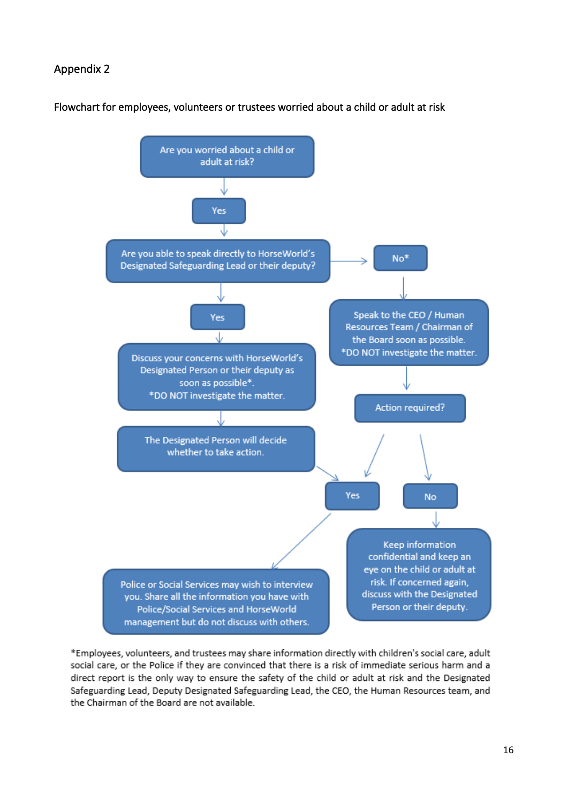## <span id="page-15-0"></span>Appendix 2



<span id="page-15-1"></span>Flowchart for employees, volunteers or trustees worried about a child or adult at risk

\*Employees, volunteers, and trustees may share information directly with children's social care, adult social care, or the Police if they are convinced that there is a risk of immediate serious harm and a direct report is the only way to ensure the safety of the child or adult at risk and the Designated Safeguarding Lead, Deputy Designated Safeguarding Lead, the CEO, the Human Resources team, and the Chairman of the Board are not available.